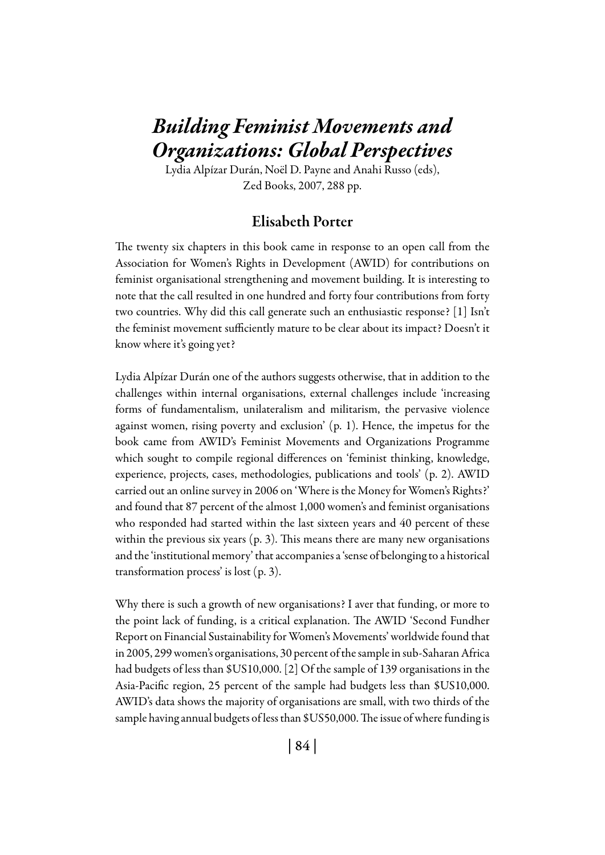# *Building Feminist Movements and Organizations: Global Perspectives*

Lydia Alpízar Durán, Noёl D. Payne and Anahi Russo (eds), Zed Books, 2007, 288 pp.

## Elisabeth Porter

The twenty six chapters in this book came in response to an open call from the Association for Women's Rights in Development (AWID) for contributions on feminist organisational strengthening and movement building. It is interesting to note that the call resulted in one hundred and forty four contributions from forty two countries. Why did this call generate such an enthusiastic response? [1] Isn't the feminist movement sufficiently mature to be clear about its impact? Doesn't it know where it's going yet?

Lydia Alpízar Durán one of the authors suggests otherwise, that in addition to the challenges within internal organisations, external challenges include 'increasing forms of fundamentalism, unilateralism and militarism, the pervasive violence against women, rising poverty and exclusion' (p. 1). Hence, the impetus for the book came from AWID's Feminist Movements and Organizations Programme which sought to compile regional differences on 'feminist thinking, knowledge, experience, projects, cases, methodologies, publications and tools' (p. 2). AWID carried out an online survey in 2006 on 'Where is the Money for Women's Rights?' and found that 87 percent of the almost 1,000 women's and feminist organisations who responded had started within the last sixteen years and 40 percent of these within the previous six years (p. 3). This means there are many new organisations and the 'institutional memory' that accompanies a 'sense of belonging to a historical transformation process' is lost (p. 3).

Why there is such a growth of new organisations? I aver that funding, or more to the point lack of funding, is a critical explanation. The AWID 'Second Fundher Report on Financial Sustainability for Women's Movements' worldwide found that in 2005, 299 women's organisations, 30 percent of the sample in sub-Saharan Africa had budgets of less than \$US10,000. [2] Of the sample of 139 organisations in the Asia-Pacific region, 25 percent of the sample had budgets less than \$US10,000. AWID's data shows the majority of organisations are small, with two thirds of the sample having annual budgets of less than \$US50,000. The issue of where funding is

| 84 |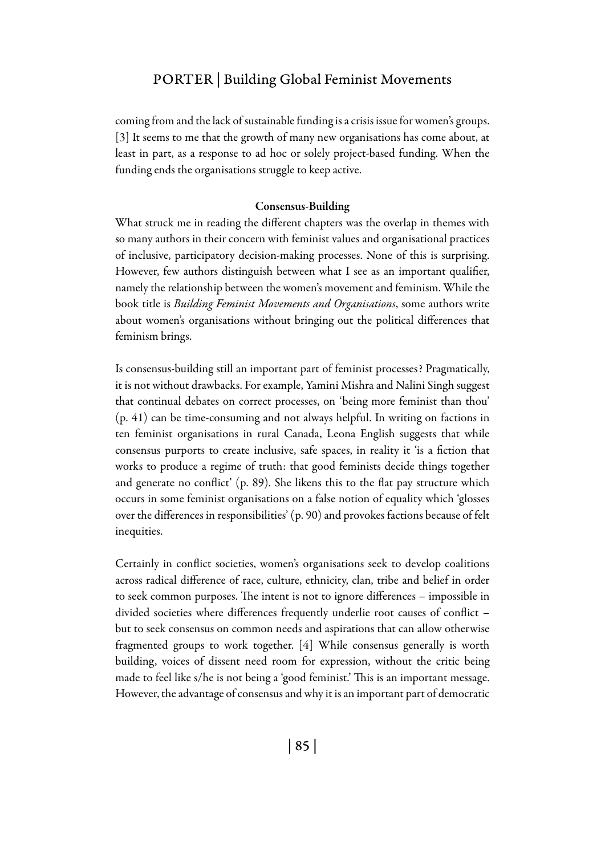## PORTER | Building Global Feminist Movements

coming from and the lack of sustainable funding is a crisis issue for women's groups. [3] It seems to me that the growth of many new organisations has come about, at least in part, as a response to ad hoc or solely project-based funding. When the funding ends the organisations struggle to keep active.

### Consensus-Building

What struck me in reading the different chapters was the overlap in themes with so many authors in their concern with feminist values and organisational practices of inclusive, participatory decision-making processes. None of this is surprising. However, few authors distinguish between what I see as an important qualifier, namely the relationship between the women's movement and feminism. While the book title is *Building Feminist Movements and Organisations*, some authors write about women's organisations without bringing out the political differences that feminism brings.

Is consensus-building still an important part of feminist processes? Pragmatically, it is not without drawbacks. For example, Yamini Mishra and Nalini Singh suggest that continual debates on correct processes, on 'being more feminist than thou' (p. 41) can be time-consuming and not always helpful. In writing on factions in ten feminist organisations in rural Canada, Leona English suggests that while consensus purports to create inclusive, safe spaces, in reality it 'is a fiction that works to produce a regime of truth: that good feminists decide things together and generate no conflict' (p. 89). She likens this to the flat pay structure which occurs in some feminist organisations on a false notion of equality which 'glosses over the differences in responsibilities' (p. 90) and provokes factions because of felt inequities.

Certainly in conflict societies, women's organisations seek to develop coalitions across radical difference of race, culture, ethnicity, clan, tribe and belief in order to seek common purposes. The intent is not to ignore differences – impossible in divided societies where differences frequently underlie root causes of conflict – but to seek consensus on common needs and aspirations that can allow otherwise fragmented groups to work together. [4] While consensus generally is worth building, voices of dissent need room for expression, without the critic being made to feel like s/he is not being a 'good feminist.' This is an important message. However, the advantage of consensus and why it is an important part of democratic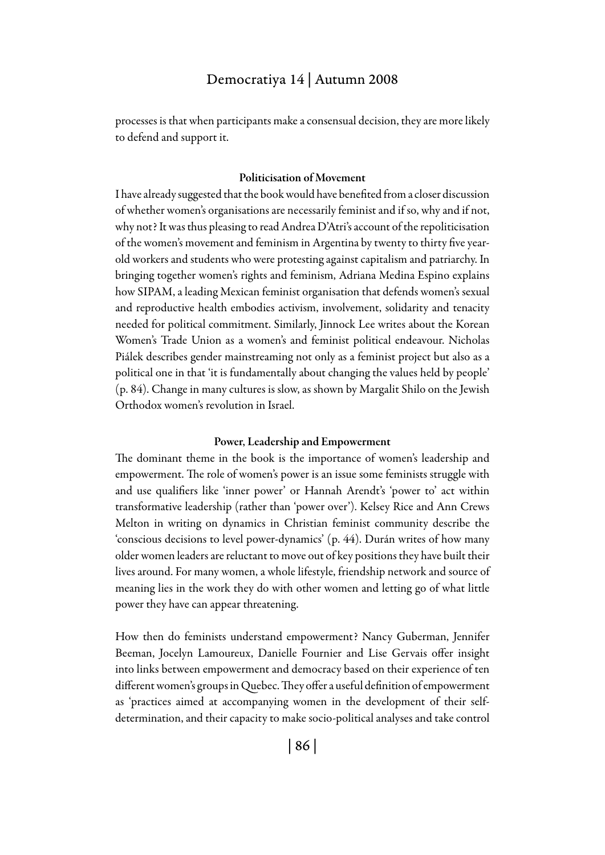## Democratiya 14 | Autumn 2008

processes is that when participants make a consensual decision, they are more likely to defend and support it.

### Politicisation of Movement

I have already suggested that the book would have benefited from a closer discussion of whether women's organisations are necessarily feminist and if so, why and if not, why not? It was thus pleasing to read Andrea D'Atri's account of the repoliticisation of the women's movement and feminism in Argentina by twenty to thirty five yearold workers and students who were protesting against capitalism and patriarchy. In bringing together women's rights and feminism, Adriana Medina Espino explains how SIPAM, a leading Mexican feminist organisation that defends women's sexual and reproductive health embodies activism, involvement, solidarity and tenacity needed for political commitment. Similarly, Jinnock Lee writes about the Korean Women's Trade Union as a women's and feminist political endeavour. Nicholas Piálek describes gender mainstreaming not only as a feminist project but also as a political one in that 'it is fundamentally about changing the values held by people' (p. 84). Change in many cultures is slow, as shown by Margalit Shilo on the Jewish Orthodox women's revolution in Israel.

#### Power, Leadership and Empowerment

The dominant theme in the book is the importance of women's leadership and empowerment. The role of women's power is an issue some feminists struggle with and use qualifiers like 'inner power' or Hannah Arendt's 'power to' act within transformative leadership (rather than 'power over'). Kelsey Rice and Ann Crews Melton in writing on dynamics in Christian feminist community describe the 'conscious decisions to level power-dynamics' (p. 44). Durán writes of how many older women leaders are reluctant to move out of key positions they have built their lives around. For many women, a whole lifestyle, friendship network and source of meaning lies in the work they do with other women and letting go of what little power they have can appear threatening.

How then do feminists understand empowerment? Nancy Guberman, Jennifer Beeman, Jocelyn Lamoureux, Danielle Fournier and Lise Gervais offer insight into links between empowerment and democracy based on their experience of ten different women's groups in Quebec. They offer a useful definition of empowerment as 'practices aimed at accompanying women in the development of their selfdetermination, and their capacity to make socio-political analyses and take control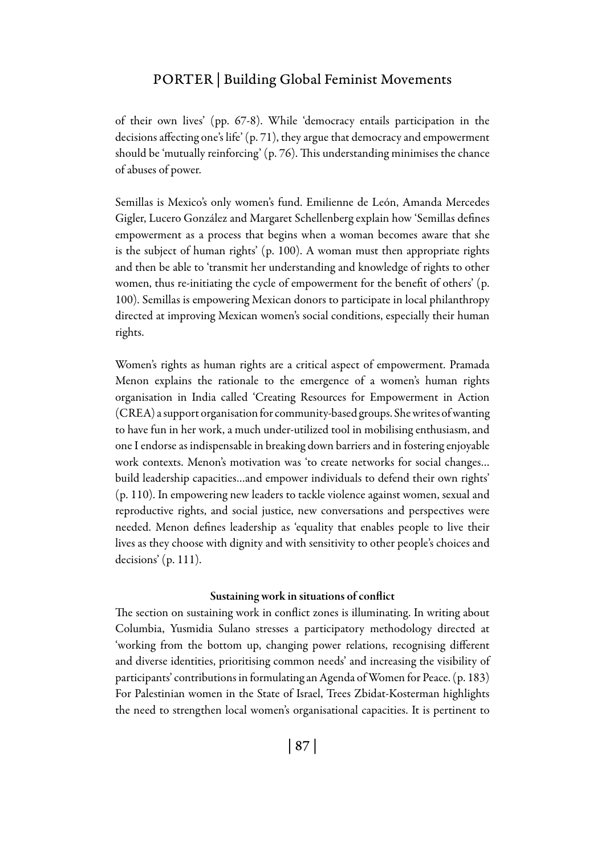## PORTER | Building Global Feminist Movements

of their own lives' (pp. 67-8). While 'democracy entails participation in the decisions affecting one's life' (p. 71), they argue that democracy and empowerment should be 'mutually reinforcing' (p. 76). This understanding minimises the chance of abuses of power.

Semillas is Mexico's only women's fund. Emilienne de León, Amanda Mercedes Gigler, Lucero González and Margaret Schellenberg explain how 'Semillas defines empowerment as a process that begins when a woman becomes aware that she is the subject of human rights' (p. 100). A woman must then appropriate rights and then be able to 'transmit her understanding and knowledge of rights to other women, thus re-initiating the cycle of empowerment for the benefit of others' (p. 100). Semillas is empowering Mexican donors to participate in local philanthropy directed at improving Mexican women's social conditions, especially their human rights.

Women's rights as human rights are a critical aspect of empowerment. Pramada Menon explains the rationale to the emergence of a women's human rights organisation in India called 'Creating Resources for Empowerment in Action (CREA) a support organisation for community-based groups. She writes of wanting to have fun in her work, a much under-utilized tool in mobilising enthusiasm, and one I endorse as indispensable in breaking down barriers and in fostering enjoyable work contexts. Menon's motivation was 'to create networks for social changes… build leadership capacities…and empower individuals to defend their own rights' (p. 110). In empowering new leaders to tackle violence against women, sexual and reproductive rights, and social justice, new conversations and perspectives were needed. Menon defines leadership as 'equality that enables people to live their lives as they choose with dignity and with sensitivity to other people's choices and decisions' (p. 111).

#### Sustaining work in situations of conflict

The section on sustaining work in conflict zones is illuminating. In writing about Columbia, Yusmidia Sulano stresses a participatory methodology directed at 'working from the bottom up, changing power relations, recognising different and diverse identities, prioritising common needs' and increasing the visibility of participants' contributions in formulating an Agenda of Women for Peace. (p. 183) For Palestinian women in the State of Israel, Trees Zbidat-Kosterman highlights the need to strengthen local women's organisational capacities. It is pertinent to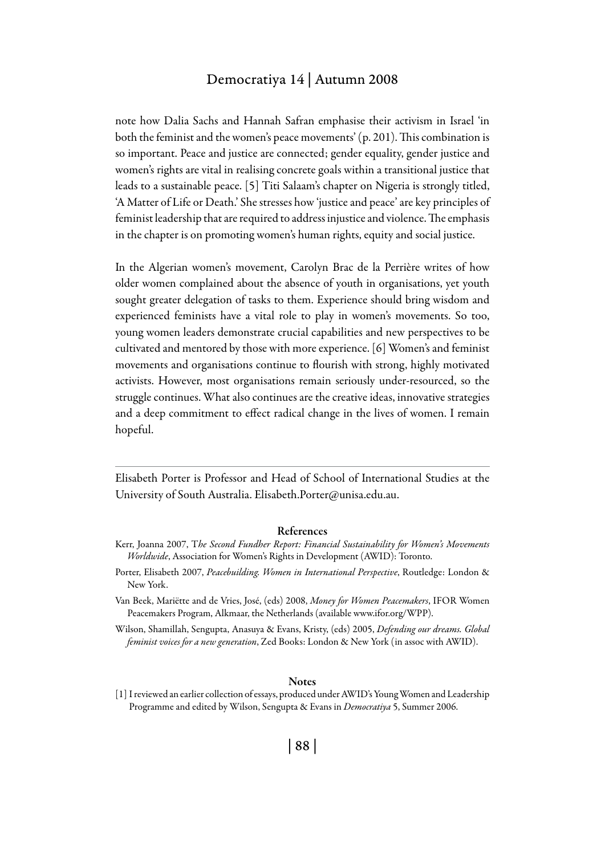## Democratiya 14 | Autumn 2008

note how Dalia Sachs and Hannah Safran emphasise their activism in Israel 'in both the feminist and the women's peace movements' (p. 201). This combination is so important. Peace and justice are connected; gender equality, gender justice and women's rights are vital in realising concrete goals within a transitional justice that leads to a sustainable peace. [5] Titi Salaam's chapter on Nigeria is strongly titled, 'A Matter of Life or Death.' She stresses how 'justice and peace' are key principles of feminist leadership that are required to address injustice and violence. The emphasis in the chapter is on promoting women's human rights, equity and social justice.

In the Algerian women's movement, Carolyn Brac de la Perrière writes of how older women complained about the absence of youth in organisations, yet youth sought greater delegation of tasks to them. Experience should bring wisdom and experienced feminists have a vital role to play in women's movements. So too, young women leaders demonstrate crucial capabilities and new perspectives to be cultivated and mentored by those with more experience. [6] Women's and feminist movements and organisations continue to flourish with strong, highly motivated activists. However, most organisations remain seriously under-resourced, so the struggle continues. What also continues are the creative ideas, innovative strategies and a deep commitment to effect radical change in the lives of women. I remain hopeful.

Elisabeth Porter is Professor and Head of School of International Studies at the University of South Australia. Elisabeth.Porter@unisa.edu.au.

#### References

- Kerr, Joanna 2007, T*he Second Fundher Report: Financial Sustainability for Women's Movements Worldwide*, Association for Women's Rights in Development (AWID): Toronto.
- Porter, Elisabeth 2007, *Peacebuilding. Women in International Perspective*, Routledge: London & New York.
- Van Beek, Mariёtte and de Vries, José, (eds) 2008, *Money for Women Peacemakers*, IFOR Women Peacemakers Program, Alkmaar, the Netherlands (available www.ifor.org/WPP).
- Wilson, Shamillah, Sengupta, Anasuya & Evans, Kristy, (eds) 2005, *Defending our dreams. Global feminist voices for a new generation*, Zed Books: London & New York (in assoc with AWID).

#### **Notes**

[1] I reviewed an earlier collection of essays, produced under AWID's Young Women and Leadership Programme and edited by Wilson, Sengupta & Evans in *Democratiya* 5, Summer 2006.